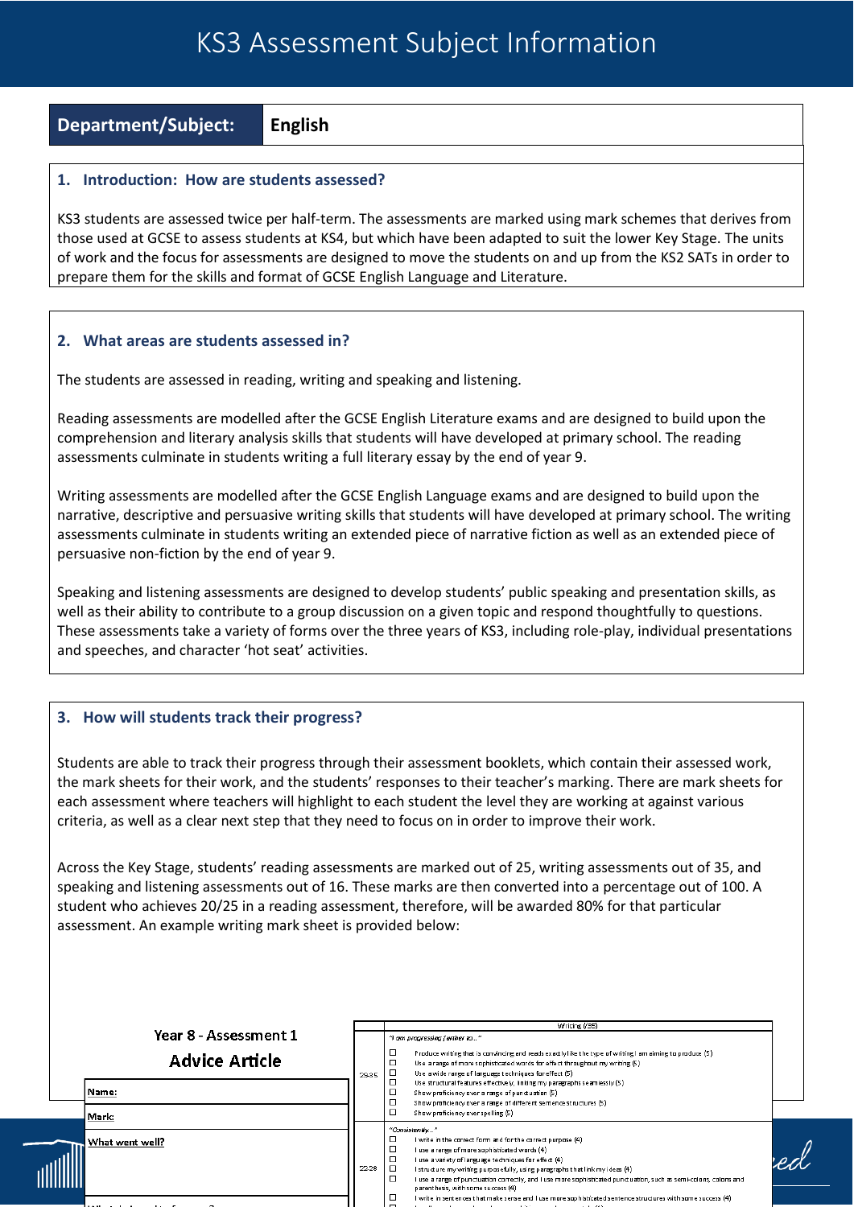## KS3 Assessment Subject Information

**Department/Subject: English**

## **1. Introduction: How are students assessed?**

KS3 students are assessed twice per half-term. The assessments are marked using mark schemes that derives from those used at GCSE to assess students at KS4, but which have been adapted to suit the lower Key Stage. The units of work and the focus for assessments are designed to move the students on and up from the KS2 SATs in order to prepare them for the skills and format of GCSE English Language and Literature.

## **2. What areas are students assessed in?**

The students are assessed in reading, writing and speaking and listening.

Reading assessments are modelled after the GCSE English Literature exams and are designed to build upon the comprehension and literary analysis skills that students will have developed at primary school. The reading assessments culminate in students writing a full literary essay by the end of year 9.

Writing assessments are modelled after the GCSE English Language exams and are designed to build upon the narrative, descriptive and persuasive writing skills that students will have developed at primary school. The writing assessments culminate in students writing an extended piece of narrative fiction as well as an extended piece of persuasive non-fiction by the end of year 9.

Speaking and listening assessments are designed to develop students' public speaking and presentation skills, as well as their ability to contribute to a group discussion on a given topic and respond thoughtfully to questions. These assessments take a variety of forms over the three years of KS3, including role-play, individual presentations and speeches, and character 'hot seat' activities.

## **3. How will students track their progress?**

Students are able to track their progress through their assessment booklets, which contain their assessed work, the mark sheets for their work, and the students' responses to their teacher's marking. There are mark sheets for each assessment where teachers will highlight to each student the level they are working at against various criteria, as well as a clear next step that they need to focus on in order to improve their work.

Across the Key Stage, students' reading assessments are marked out of 25, writing assessments out of 35, and speaking and listening assessments out of 16. These marks are then converted into a percentage out of 100. A student who achieves 20/25 in a reading assessment, therefore, will be awarded 80% for that particular assessment. An example writing mark sheet is provided below:

|                       |       | Writing (/35)                                                                                                                                                                                                                                                                                                                                                                                                                           |  |
|-----------------------|-------|-----------------------------------------------------------------------------------------------------------------------------------------------------------------------------------------------------------------------------------------------------------------------------------------------------------------------------------------------------------------------------------------------------------------------------------------|--|
| Year 8 - Assessment 1 |       | "I am progressing further to"                                                                                                                                                                                                                                                                                                                                                                                                           |  |
| <b>Advice Article</b> | 29-35 | Produce writing that is convincing and reads exactly like the type of writing I am aiming to produce (5).<br>Use a range of more sophisticated words for effect throughout my writing (5)<br>Use a wide range of language techniques for effect (5)                                                                                                                                                                                     |  |
| Name:                 |       | □<br>Use structural features effectively, linking my paragraphs seamlessly (5)<br>Show proficiency over a range of punctuation (5)<br>Show proficiency over a range of different sentence structures (5)                                                                                                                                                                                                                                |  |
| Mark:                 |       | Show proficiency over spelling (5)                                                                                                                                                                                                                                                                                                                                                                                                      |  |
| What went well?       | 22-28 | "Consistently"<br>I write in the correct form and for the correct purpose (4)<br>l use a range of more sophisticated words (4)<br>I use a variety of language techniques for effect (4)<br>I structure my writing purposefully, using paragraphs that link my ideas (4)<br>□<br>l use a range of punctuation correctly, and I use more sophisticated punctuation, such as semi-colons, colons and<br>parenthesis, with some success (4) |  |
| .                     |       | l write in sentences that make sense and I use more sophisticated sentence structures with some success (4).<br>realists and the contract of the contract of the contract of the contract of the contract of the contract of the                                                                                                                                                                                                        |  |